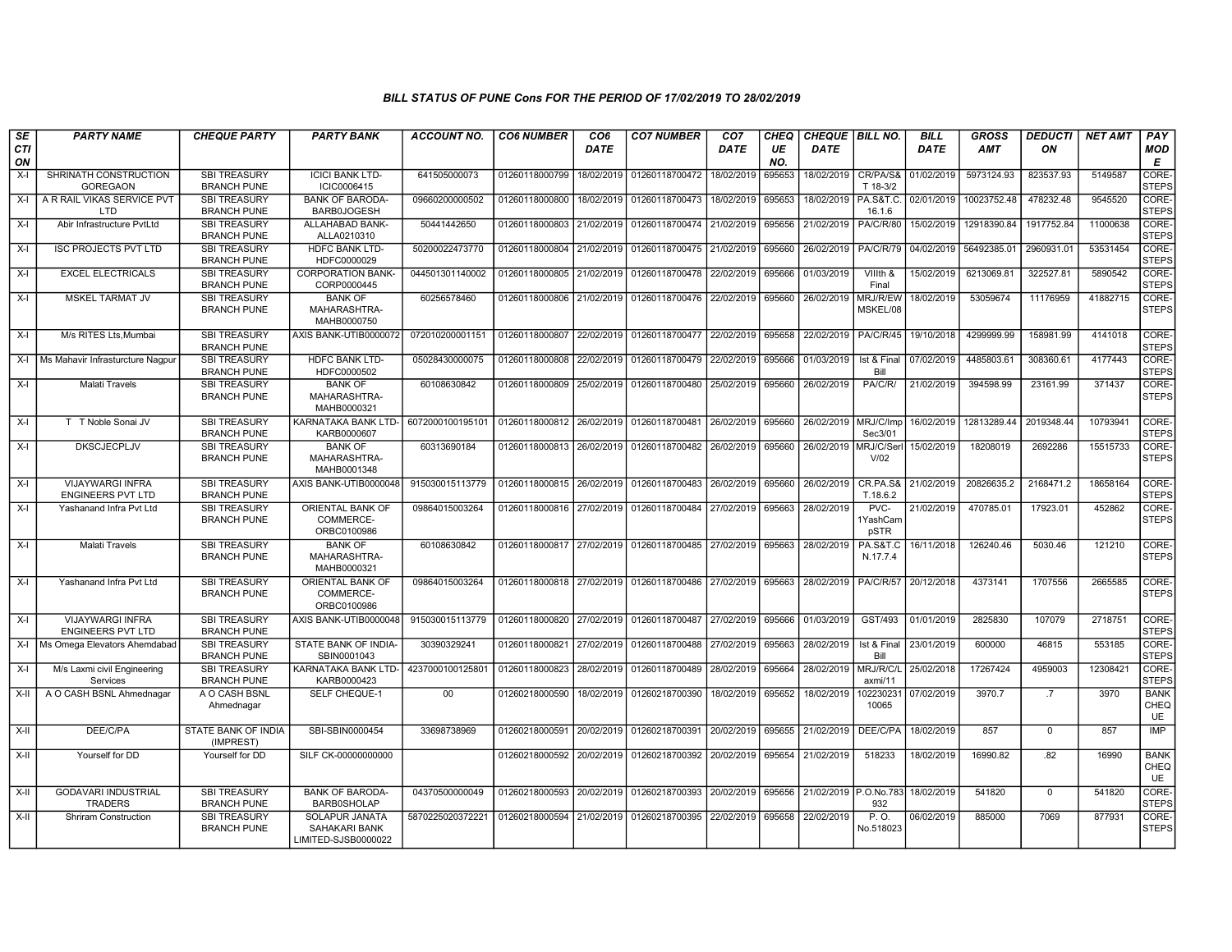## BILL STATUS OF PUNE Cons FOR THE PERIOD OF 17/02/2019 TO 28/02/2019

| SE        | <b>PARTY NAME</b>                                   | <b>CHEQUE PARTY</b>                       | <b>PARTY BANK</b>                                      | <b>ACCOUNT NO.</b> | <b>CO6 NUMBER</b>         | CO <sub>6</sub> | <b>CO7 NUMBER</b>                        | CO <sub>7</sub> | CHEQ      | <b>CHEQUE   BILL NO.</b> |                                 | <b>BILL</b> | <b>GROSS</b> | <b>DEDUCTI</b> | <b>NET AMT</b> | PAY                         |
|-----------|-----------------------------------------------------|-------------------------------------------|--------------------------------------------------------|--------------------|---------------------------|-----------------|------------------------------------------|-----------------|-----------|--------------------------|---------------------------------|-------------|--------------|----------------|----------------|-----------------------------|
| CTI<br>ON |                                                     |                                           |                                                        |                    |                           | DATE            |                                          | DATE            | UE<br>NO. | <b>DATE</b>              |                                 | <b>DATE</b> | <b>AMT</b>   | ON             |                | <b>MOD</b><br>Е             |
| $X-I$     | SHRINATH CONSTRUCTION<br><b>GOREGAON</b>            | SBI TREASURY<br><b>BRANCH PUNE</b>        | <b>ICICI BANK LTD-</b><br>ICIC0006415                  | 641505000073       | 01260118000799            | 18/02/2019      | 01260118700472                           | 18/02/2019      | 695653    | 18/02/2019               | CR/PA/S&<br>T 18-3/2            | 01/02/2019  | 5973124.93   | 823537.93      | 5149587        | <b>CORE</b><br><b>STEPS</b> |
| $X-I$     | A R RAIL VIKAS SERVICE PVT<br>LTD.                  | <b>SBI TREASURY</b><br><b>BRANCH PUNE</b> | <b>BANK OF BARODA-</b><br><b>BARB0JOGESH</b>           | 09660200000502     | 01260118000800            | 18/02/2019      | 01260118700473                           | 18/02/2019      | 695653    | 18/02/2019               | <b>PA.S&amp;T.C.</b><br>16.1.6  | 02/01/2019  | 10023752.48  | 478232.48      | 9545520        | CORE-<br><b>STEPS</b>       |
| $X-I$     | Abir Infrastructure PvtLtd                          | <b>SBI TREASURY</b><br><b>BRANCH PUNE</b> | ALLAHABAD BANK-<br>ALLA0210310                         | 50441442650        | 01260118000803            | 21/02/2019      | 01260118700474                           | 21/02/2019      | 695656    | 21/02/2019               | <b>PA/C/R/80</b>                | 15/02/2019  | 12918390.84  | 1917752.84     | 11000638       | CORE-<br><b>STEPS</b>       |
| $X-I$     | <b>ISC PROJECTS PVT LTD</b>                         | <b>SBI TREASURY</b><br><b>BRANCH PUNE</b> | <b>HDFC BANK LTD-</b><br>HDFC0000029                   | 50200022473770     | 01260118000804 21/02/2019 |                 | 01260118700475                           | 21/02/2019      | 695660    | 26/02/2019               | PA/C/R/79                       | 04/02/2019  | 56492385.01  | 2960931.01     | 53531454       | CORE-<br><b>STEPS</b>       |
| $X-I$     | <b>EXCEL ELECTRICALS</b>                            | <b>SBI TREASURY</b><br><b>BRANCH PUNE</b> | <b>CORPORATION BANK-</b><br>CORP0000445                | 044501301140002    | 01260118000805            | 21/02/2019      | 01260118700478                           | 22/02/2019      | 695666    | 01/03/2019               | VIIIth &<br>Final               | 15/02/2019  | 6213069.81   | 322527.81      | 5890542        | CORE-<br><b>STEPS</b>       |
| $X-I$     | <b>MSKEL TARMAT JV</b>                              | <b>SBI TREASURY</b><br><b>BRANCH PUNE</b> | <b>BANK OF</b><br>MAHARASHTRA-<br>MAHB0000750          | 60256578460        | 01260118000806            | 21/02/2019      | 01260118700476                           | 22/02/2019      | 695660    | 26/02/2019               | MRJ/R/EW<br>MSKEL/08            | 18/02/2019  | 53059674     | 11176959       | 41882715       | CORE-<br><b>STEPS</b>       |
| $X-I$     | M/s RITES Lts.Mumbai                                | <b>SBI TREASURY</b><br><b>BRANCH PUNE</b> | AXIS BANK-UTIB0000072                                  | 072010200001151    | 01260118000807 22/02/2019 |                 | 01260118700477                           | 22/02/2019      | 695658    | 22/02/2019               | <b>PA/C/R/45</b>                | 19/10/2018  | 4299999.99   | 158981.99      | 4141018        | CORE-<br><b>STEPS</b>       |
| $X-I$     | Ms Mahavir Infrasturcture Nagpur                    | <b>SBI TREASURY</b><br><b>BRANCH PUNE</b> | <b>HDFC BANK LTD-</b><br>HDFC0000502                   | 05028430000075     | 01260118000808            | 22/02/2019      | 01260118700479                           | 22/02/2019      | 695666    | 01/03/2019               | Ist & Final<br>Bill             | 07/02/2019  | 4485803.61   | 308360.61      | 4177443        | CORE-<br><b>STEPS</b>       |
| $X-I$     | <b>Malati Travels</b>                               | <b>SBI TREASURY</b><br><b>BRANCH PUNE</b> | <b>BANK OF</b><br>MAHARASHTRA-<br>MAHB0000321          | 60108630842        | 01260118000809            | 25/02/2019      | 01260118700480                           | 25/02/2019      | 695660    | 26/02/2019               | PA/C/R/                         | 21/02/2019  | 394598.99    | 23161.99       | 371437         | CORE-<br><b>STEPS</b>       |
| $X-I$     | T T Noble Sonai JV                                  | <b>SBI TREASURY</b><br><b>BRANCH PUNE</b> | KARNATAKA BANK LTD-<br>KARB0000607                     | 6072000100195101   | 01260118000812 26/02/2019 |                 | 01260118700481                           | 26/02/2019      | 695660    | 26/02/2019   MRJ/C/Imp   | Sec3/01                         | 16/02/2019  | 12813289.44  | 2019348.44     | 10793941       | CORE-<br><b>STEPS</b>       |
| $X-I$     | <b>DKSCJECPLJV</b>                                  | <b>SBI TREASURY</b><br><b>BRANCH PUNE</b> | <b>BANK OF</b><br>MAHARASHTRA-<br>MAHB0001348          | 60313690184        | 01260118000813            | 26/02/2019      | 01260118700482                           | 26/02/2019      | 695660    | 26/02/2019               | MRJ/C/Ser<br>V/02               | 15/02/2019  | 18208019     | 2692286        | 15515733       | CORE-<br><b>STEPS</b>       |
| $X-I$     | <b>VIJAYWARGI INFRA</b><br><b>ENGINEERS PVT LTD</b> | <b>SBI TREASURY</b><br><b>BRANCH PUNE</b> | AXIS BANK-UTIB0000048                                  | 915030015113779    | 01260118000815 26/02/2019 |                 | 01260118700483                           | 26/02/2019      | 695660    | 26/02/2019               | CR.PA.S&<br>T.18.6.2            | 21/02/2019  | 20826635.2   | 2168471.2      | 18658164       | CORE-<br><b>STEPS</b>       |
| $X-I$     | Yashanand Infra Pvt Ltd                             | <b>SBI TREASURY</b><br><b>BRANCH PUNE</b> | ORIENTAL BANK OF<br>COMMERCE-<br>ORBC0100986           | 09864015003264     | 01260118000816 27/02/2019 |                 | 01260118700484                           | 27/02/2019      | 695663    | 28/02/2019               | $PVC -$<br>1YashCam<br>pSTR     | 21/02/2019  | 470785.01    | 17923.01       | 452862         | CORE-<br><b>STEPS</b>       |
| X-I       | Malati Travels                                      | <b>SBI TREASURY</b><br><b>BRANCH PUNE</b> | <b>BANK OF</b><br>MAHARASHTRA-<br>MAHB0000321          | 60108630842        | 01260118000817 27/02/2019 |                 | 01260118700485                           | 27/02/2019      | 695663    | 28/02/2019               | <b>PA.S&amp;T.C</b><br>N.17.7.4 | 16/11/2018  | 126240.46    | 5030.46        | 121210         | CORE-<br><b>STEPS</b>       |
| $X-I$     | Yashanand Infra Pvt Ltd                             | <b>SBI TREASURY</b><br><b>BRANCH PUNE</b> | ORIENTAL BANK OF<br>COMMERCE-<br>ORBC0100986           | 09864015003264     |                           |                 | 01260118000818 27/02/2019 01260118700486 | 27/02/2019      | 695663    | 28/02/2019               | PA/C/R/57                       | 20/12/2018  | 4373141      | 1707556        | 2665585        | CORE-<br><b>STEPS</b>       |
| X-I       | VIJAYWARGI INFRA<br><b>ENGINEERS PVT LTD</b>        | <b>SBI TREASURY</b><br><b>BRANCH PUNE</b> | AXIS BANK-UTIB0000048                                  | 915030015113779    | 01260118000820            | 27/02/2019      | 01260118700487                           | 27/02/2019      | 695666    | 01/03/2019               | GST/493                         | 01/01/2019  | 2825830      | 107079         | 2718751        | CORE-<br><b>STEPS</b>       |
|           | X-I   Ms Omega Elevators Ahemdabad                  | <b>SBI TREASURY</b><br><b>BRANCH PUNE</b> | STATE BANK OF INDIA-<br>SBIN0001043                    | 30390329241        | 01260118000821            | 27/02/2019      | 01260118700488                           | 27/02/2019      | 695663    | 28/02/2019               | Ist & Final<br>Bill             | 23/01/2019  | 600000       | 46815          | 553185         | CORE-<br><b>STEPS</b>       |
| $X-I$     | M/s Laxmi civil Engineering<br>Services             | <b>SBI TREASURY</b><br><b>BRANCH PUNE</b> | KARNATAKA BANK LTD-<br>KARB0000423                     | 4237000100125801   | 01260118000823            | 28/02/2019      | 01260118700489                           | 28/02/2019      | 695664    | 28/02/2019               | MRJ/R/C/L<br>axmi/11            | 25/02/2018  | 17267424     | 4959003        | 12308421       | CORE-<br><b>STEPS</b>       |
| $X-H$     | A O CASH BSNL Ahmednagar                            | A O CASH BSNL<br>Ahmednagar               | <b>SELF CHEQUE-1</b>                                   | 00                 | 01260218000590            | 18/02/2019      | 01260218700390                           | 18/02/2019      | 695652    | 18/02/2019               | 102230231<br>10065              | 07/02/2019  | 3970.7       | .7             | 3970           | <b>BANK</b><br>CHEQ<br>UE   |
| X-II      | DEE/C/PA                                            | STATE BANK OF INDIA<br>(IMPREST)          | SBI-SBIN0000454                                        | 33698738969        | 01260218000591            | 20/02/2019      | 01260218700391                           | 20/02/2019      | 695655    | 21/02/2019               | DEE/C/PA                        | 18/02/2019  | 857          | $\overline{0}$ | 857            | <b>IMP</b>                  |
| X-II      | Yourself for DD                                     | Yourself for DD                           | SILF CK-00000000000                                    |                    | 01260218000592            | 20/02/2019      | 01260218700392                           | 20/02/2019      | 695654    | 21/02/2019               | 518233                          | 18/02/2019  | 16990.82     | .82            | 16990          | <b>BANK</b><br>CHEQ<br>UE   |
| $X-II$    | <b>GODAVARI INDUSTRIAL</b><br><b>TRADERS</b>        | <b>SBI TREASURY</b><br><b>BRANCH PUNE</b> | <b>BANK OF BARODA-</b><br><b>BARB0SHOLAP</b>           | 04370500000049     | 01260218000593 20/02/2019 |                 | 01260218700393                           | 20/02/2019      | 695656    | 21/02/2019 P.O.No.783    | 932                             | 18/02/2019  | 541820       | $\overline{0}$ | 541820         | CORE-<br><b>STEPS</b>       |
| X-II      | <b>Shriram Construction</b>                         | <b>SBI TREASURY</b><br><b>BRANCH PUNE</b> | SOLAPUR JANATA<br>SAHAKARI BANK<br>LIMITED-SJSB0000022 | 5870225020372221   | 01260218000594            | 21/02/2019      | 01260218700395                           | 22/02/2019      | 695658    | 22/02/2019               | P. O.<br>No.518023              | 06/02/2019  | 885000       | 7069           | 877931         | CORE-<br><b>STEPS</b>       |